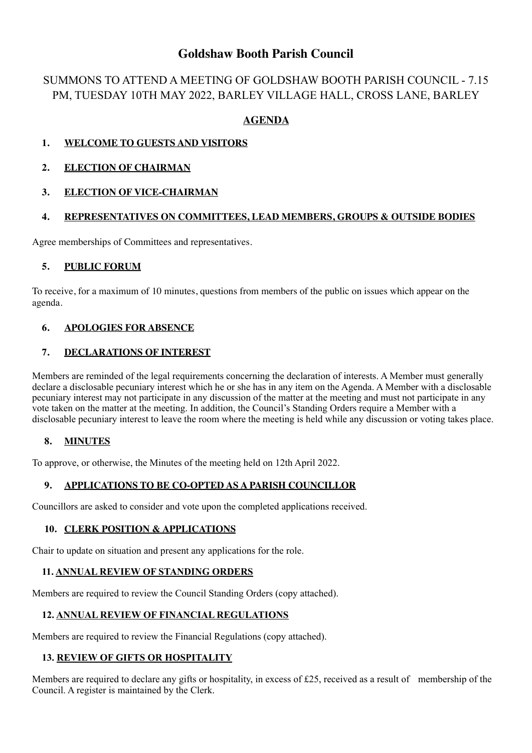# **Goldshaw Booth Parish Council**

# SUMMONS TO ATTEND A MEETING OF GOLDSHAW BOOTH PARISH COUNCIL - 7.15 PM, TUESDAY 10TH MAY 2022, BARLEY VILLAGE HALL, CROSS LANE, BARLEY

# **AGENDA**

# **1. WELCOME TO GUESTS AND VISITORS**

## **2. ELECTION OF CHAIRMAN**

## **3. ELECTION OF VICE-CHAIRMAN**

## **4. REPRESENTATIVES ON COMMITTEES, LEAD MEMBERS, GROUPS & OUTSIDE BODIES**

Agree memberships of Committees and representatives.

#### **5. PUBLIC FORUM**

To receive, for a maximum of 10 minutes, questions from members of the public on issues which appear on the agenda.

## **6. APOLOGIES FOR ABSENCE**

#### **7. DECLARATIONS OF INTEREST**

Members are reminded of the legal requirements concerning the declaration of interests. A Member must generally declare a disclosable pecuniary interest which he or she has in any item on the Agenda. A Member with a disclosable pecuniary interest may not participate in any discussion of the matter at the meeting and must not participate in any vote taken on the matter at the meeting. In addition, the Council's Standing Orders require a Member with a disclosable pecuniary interest to leave the room where the meeting is held while any discussion or voting takes place.

#### **8. MINUTES**

To approve, or otherwise, the Minutes of the meeting held on 12th April 2022.

# **9. APPLICATIONS TO BE CO-OPTED AS A PARISH COUNCILLOR**

Councillors are asked to consider and vote upon the completed applications received.

#### **10. CLERK POSITION & APPLICATIONS**

Chair to update on situation and present any applications for the role.

#### **11. ANNUAL REVIEW OF STANDING ORDERS**

Members are required to review the Council Standing Orders (copy attached).

#### **12. ANNUAL REVIEW OF FINANCIAL REGULATIONS**

Members are required to review the Financial Regulations (copy attached).

#### **13. REVIEW OF GIFTS OR HOSPITALITY**

Members are required to declare any gifts or hospitality, in excess of £25, received as a result of membership of the Council. A register is maintained by the Clerk.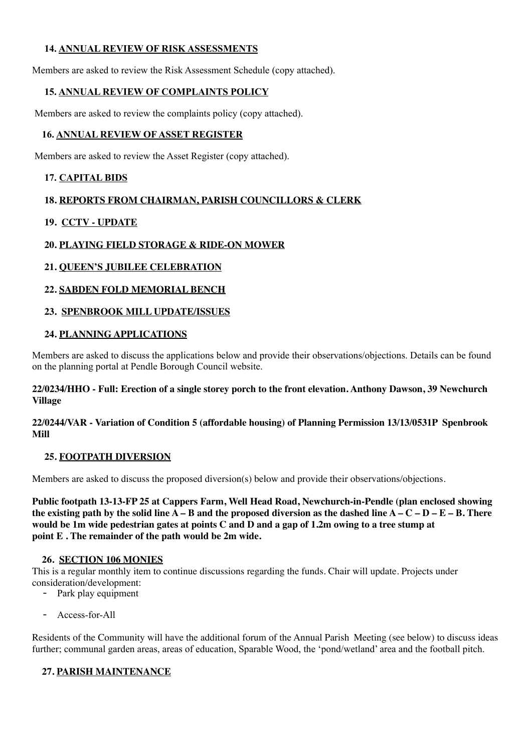## **14. ANNUAL REVIEW OF RISK ASSESSMENTS**

Members are asked to review the Risk Assessment Schedule (copy attached).

## **15. ANNUAL REVIEW OF COMPLAINTS POLICY**

Members are asked to review the complaints policy (copy attached).

## **16. ANNUAL REVIEW OF ASSET REGISTER**

Members are asked to review the Asset Register (copy attached).

## **17. CAPITAL BIDS**

## **18. REPORTS FROM CHAIRMAN, PARISH COUNCILLORS & CLERK**

## **19. CCTV - UPDATE**

## **20. PLAYING FIELD STORAGE & RIDE-ON MOWER**

## **21. QUEEN'S JUBILEE CELEBRATION**

## **22. SABDEN FOLD MEMORIAL BENCH**

## **23. SPENBROOK MILL UPDATE/ISSUES**

## **24. PLANNING APPLICATIONS**

Members are asked to discuss the applications below and provide their observations/objections. Details can be found on the planning portal at Pendle Borough Council website.

#### **22/0234/HHO - Full: Erection of a single storey porch to the front elevation. Anthony Dawson, 39 Newchurch Village**

#### **22/0244/VAR - Variation of Condition 5 (affordable housing) of Planning Permission 13/13/0531P Spenbrook Mill**

#### **25. FOOTPATH DIVERSION**

Members are asked to discuss the proposed diversion(s) below and provide their observations/objections.

**Public footpath 13-13-FP 25 at Cappers Farm, Well Head Road, Newchurch-in-Pendle (plan enclosed showing**  the existing path by the solid line  $A - B$  and the proposed diversion as the dashed line  $A - C - D - E - B$ . There **would be 1m wide pedestrian gates at points C and D and a gap of 1.2m owing to a tree stump at point E . The remainder of the path would be 2m wide.**

#### **26. SECTION 106 MONIES**

This is a regular monthly item to continue discussions regarding the funds. Chair will update. Projects under consideration/development:

- Park play equipment
- Access-for-All

Residents of the Community will have the additional forum of the Annual Parish Meeting (see below) to discuss ideas further; communal garden areas, areas of education, Sparable Wood, the 'pond/wetland' area and the football pitch.

# **27. PARISH MAINTENANCE**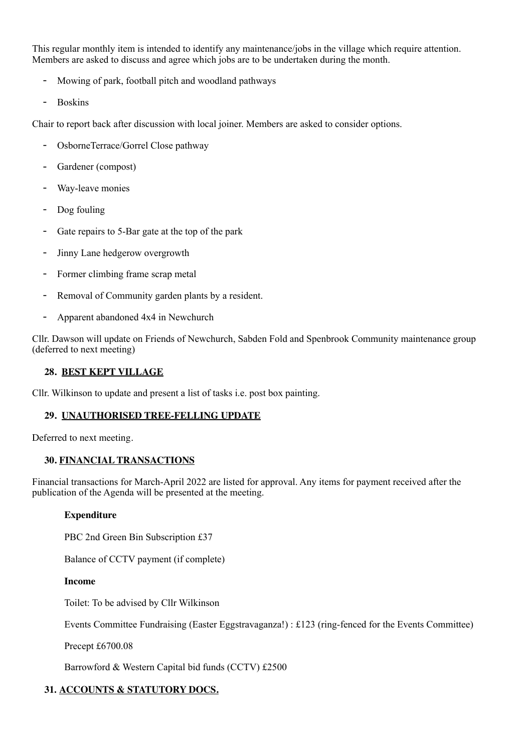This regular monthly item is intended to identify any maintenance/jobs in the village which require attention. Members are asked to discuss and agree which jobs are to be undertaken during the month.

- Mowing of park, football pitch and woodland pathways
- Boskins

Chair to report back after discussion with local joiner. Members are asked to consider options.

- OsborneTerrace/Gorrel Close pathway
- Gardener (compost)
- Way-leave monies
- Dog fouling
- Gate repairs to 5-Bar gate at the top of the park
- Jinny Lane hedgerow overgrowth
- Former climbing frame scrap metal
- Removal of Community garden plants by a resident.
- Apparent abandoned 4x4 in Newchurch

Cllr. Dawson will update on Friends of Newchurch, Sabden Fold and Spenbrook Community maintenance group (deferred to next meeting)

## **28. BEST KEPT VILLAGE**

Cllr. Wilkinson to update and present a list of tasks i.e. post box painting.

#### **29. UNAUTHORISED TREE-FELLING UPDATE**

Deferred to next meeting.

#### **30. FINANCIAL TRANSACTIONS**

Financial transactions for March-April 2022 are listed for approval. Any items for payment received after the publication of the Agenda will be presented at the meeting.

#### **Expenditure**

PBC 2nd Green Bin Subscription £37

Balance of CCTV payment (if complete)

#### **Income**

Toilet: To be advised by Cllr Wilkinson

Events Committee Fundraising (Easter Eggstravaganza!) : £123 (ring-fenced for the Events Committee)

Precept £6700.08

Barrowford & Western Capital bid funds (CCTV) £2500

# **31. ACCOUNTS & STATUTORY DOCS.**